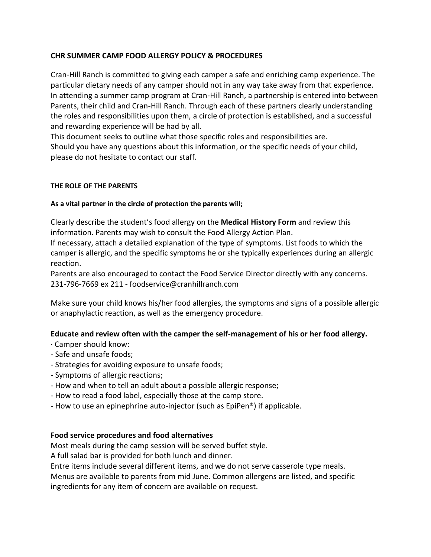# **CHR SUMMER CAMP FOOD ALLERGY POLICY & PROCEDURES**

Cran-Hill Ranch is committed to giving each camper a safe and enriching camp experience. The particular dietary needs of any camper should not in any way take away from that experience. In attending a summer camp program at Cran-Hill Ranch, a partnership is entered into between Parents, their child and Cran-Hill Ranch. Through each of these partners clearly understanding the roles and responsibilities upon them, a circle of protection is established, and a successful and rewarding experience will be had by all.

This document seeks to outline what those specific roles and responsibilities are. Should you have any questions about this information, or the specific needs of your child, please do not hesitate to contact our staff.

### **THE ROLE OF THE PARENTS**

### **As a vital partner in the circle of protection the parents will;**

Clearly describe the student's food allergy on the **Medical History Form** and review this information. Parents may wish to consult the Food Allergy Action Plan.

If necessary, attach a detailed explanation of the type of symptoms. List foods to which the camper is allergic, and the specific symptoms he or she typically experiences during an allergic reaction.

Parents are also encouraged to contact the Food Service Director directly with any concerns. 231-796-7669 ex 211 - foodservice@cranhillranch.com

Make sure your child knows his/her food allergies, the symptoms and signs of a possible allergic or anaphylactic reaction, as well as the emergency procedure.

# **Educate and review often with the camper the self-management of his or her food allergy.**

- · Camper should know:
- Safe and unsafe foods;
- Strategies for avoiding exposure to unsafe foods;
- Symptoms of allergic reactions;
- How and when to tell an adult about a possible allergic response;
- How to read a food label, especially those at the camp store.
- How to use an epinephrine auto-injector (such as EpiPen®) if applicable.

#### **Food service procedures and food alternatives**

Most meals during the camp session will be served buffet style.

A full salad bar is provided for both lunch and dinner.

Entre items include several different items, and we do not serve casserole type meals.

Menus are available to parents from mid June. Common allergens are listed, and specific ingredients for any item of concern are available on request.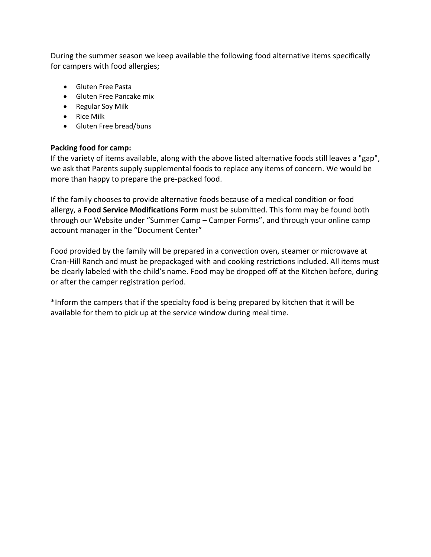During the summer season we keep available the following food alternative items specifically for campers with food allergies;

- **Gluten Free Pasta**
- Gluten Free Pancake mix
- Regular Soy Milk
- Rice Milk
- Gluten Free bread/buns

### **Packing food for camp:**

If the variety of items available, along with the above listed alternative foods still leaves a "gap", we ask that Parents supply supplemental foods to replace any items of concern. We would be more than happy to prepare the pre-packed food.

If the family chooses to provide alternative foods because of a medical condition or food allergy, a **Food Service Modifications Form** must be submitted. This form may be found both through our Website under "Summer Camp – Camper Forms", and through your online camp account manager in the "Document Center"

Food provided by the family will be prepared in a convection oven, steamer or microwave at Cran-Hill Ranch and must be prepackaged with and cooking restrictions included. All items must be clearly labeled with the child's name. Food may be dropped off at the Kitchen before, during or after the camper registration period.

\*Inform the campers that if the specialty food is being prepared by kitchen that it will be available for them to pick up at the service window during meal time.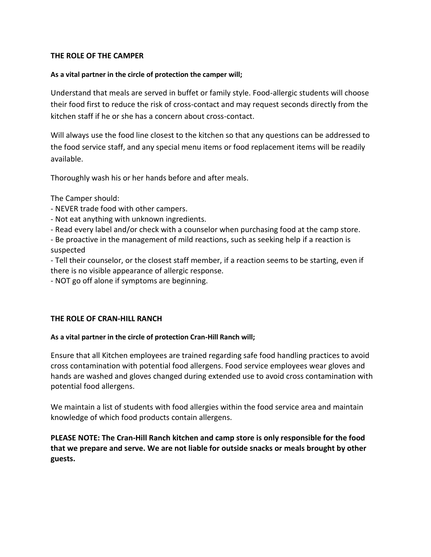### **THE ROLE OF THE CAMPER**

#### **As a vital partner in the circle of protection the camper will;**

Understand that meals are served in buffet or family style. Food-allergic students will choose their food first to reduce the risk of cross-contact and may request seconds directly from the kitchen staff if he or she has a concern about cross-contact.

Will always use the food line closest to the kitchen so that any questions can be addressed to the food service staff, and any special menu items or food replacement items will be readily available.

Thoroughly wash his or her hands before and after meals.

The Camper should:

- NEVER trade food with other campers.
- Not eat anything with unknown ingredients.
- Read every label and/or check with a counselor when purchasing food at the camp store.
- Be proactive in the management of mild reactions, such as seeking help if a reaction is suspected

- Tell their counselor, or the closest staff member, if a reaction seems to be starting, even if there is no visible appearance of allergic response.

- NOT go off alone if symptoms are beginning.

# **THE ROLE OF CRAN-HILL RANCH**

#### **As a vital partner in the circle of protection Cran-Hill Ranch will;**

Ensure that all Kitchen employees are trained regarding safe food handling practices to avoid cross contamination with potential food allergens. Food service employees wear gloves and hands are washed and gloves changed during extended use to avoid cross contamination with potential food allergens.

We maintain a list of students with food allergies within the food service area and maintain knowledge of which food products contain allergens.

**PLEASE NOTE: The Cran-Hill Ranch kitchen and camp store is only responsible for the food that we prepare and serve. We are not liable for outside snacks or meals brought by other guests.**